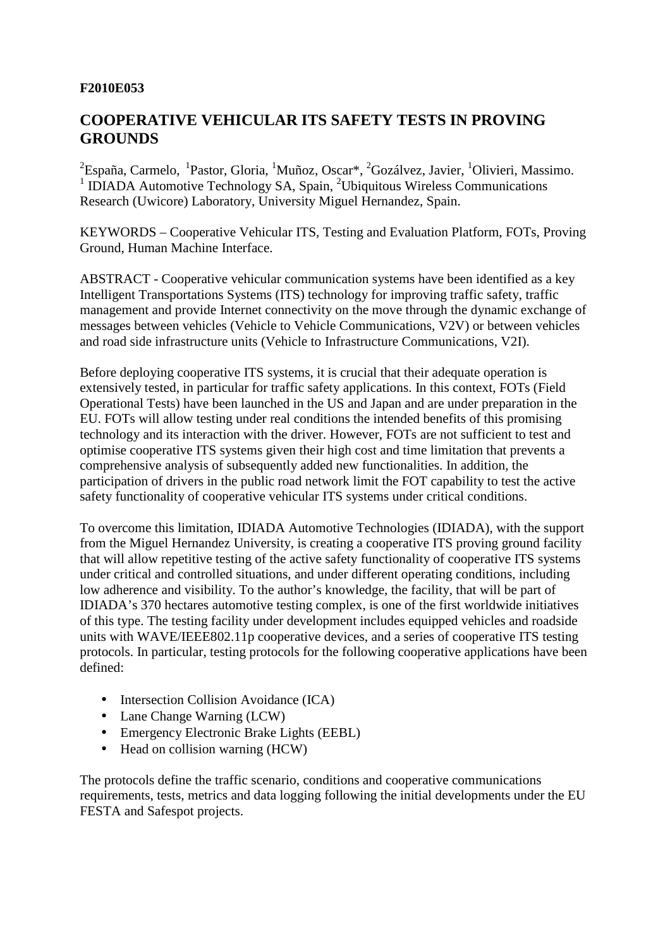## **F2010E053**

# **COOPERATIVE VEHICULAR ITS SAFETY TESTS IN PROVING GROUNDS**

<sup>2</sup> España, Carmelo, <sup>1</sup> Pastor, Gloria, <sup>1</sup> Muñoz, Oscar\*, <sup>2</sup>Gozálvez, Javier, <sup>1</sup>Olivieri, Massimo. <sup>1</sup> IDIADA Automotive Technology SA, Spain, <sup>2</sup>Ubiquitous Wireless Communications Research (Uwicore) Laboratory, University Miguel Hernandez, Spain.

KEYWORDS – Cooperative Vehicular ITS, Testing and Evaluation Platform, FOTs, Proving Ground, Human Machine Interface.

ABSTRACT - Cooperative vehicular communication systems have been identified as a key Intelligent Transportations Systems (ITS) technology for improving traffic safety, traffic management and provide Internet connectivity on the move through the dynamic exchange of messages between vehicles (Vehicle to Vehicle Communications, V2V) or between vehicles and road side infrastructure units (Vehicle to Infrastructure Communications, V2I).

Before deploying cooperative ITS systems, it is crucial that their adequate operation is extensively tested, in particular for traffic safety applications. In this context, FOTs (Field Operational Tests) have been launched in the US and Japan and are under preparation in the EU. FOTs will allow testing under real conditions the intended benefits of this promising technology and its interaction with the driver. However, FOTs are not sufficient to test and optimise cooperative ITS systems given their high cost and time limitation that prevents a comprehensive analysis of subsequently added new functionalities. In addition, the participation of drivers in the public road network limit the FOT capability to test the active safety functionality of cooperative vehicular ITS systems under critical conditions.

To overcome this limitation, IDIADA Automotive Technologies (IDIADA), with the support from the Miguel Hernandez University, is creating a cooperative ITS proving ground facility that will allow repetitive testing of the active safety functionality of cooperative ITS systems under critical and controlled situations, and under different operating conditions, including low adherence and visibility. To the author's knowledge, the facility, that will be part of IDIADA's 370 hectares automotive testing complex, is one of the first worldwide initiatives of this type. The testing facility under development includes equipped vehicles and roadside units with WAVE/IEEE802.11p cooperative devices, and a series of cooperative ITS testing protocols. In particular, testing protocols for the following cooperative applications have been defined:

- Intersection Collision Avoidance (ICA)
- Lane Change Warning (LCW)
- Emergency Electronic Brake Lights (EEBL)
- Head on collision warning (HCW)

The protocols define the traffic scenario, conditions and cooperative communications requirements, tests, metrics and data logging following the initial developments under the EU FESTA and Safespot projects.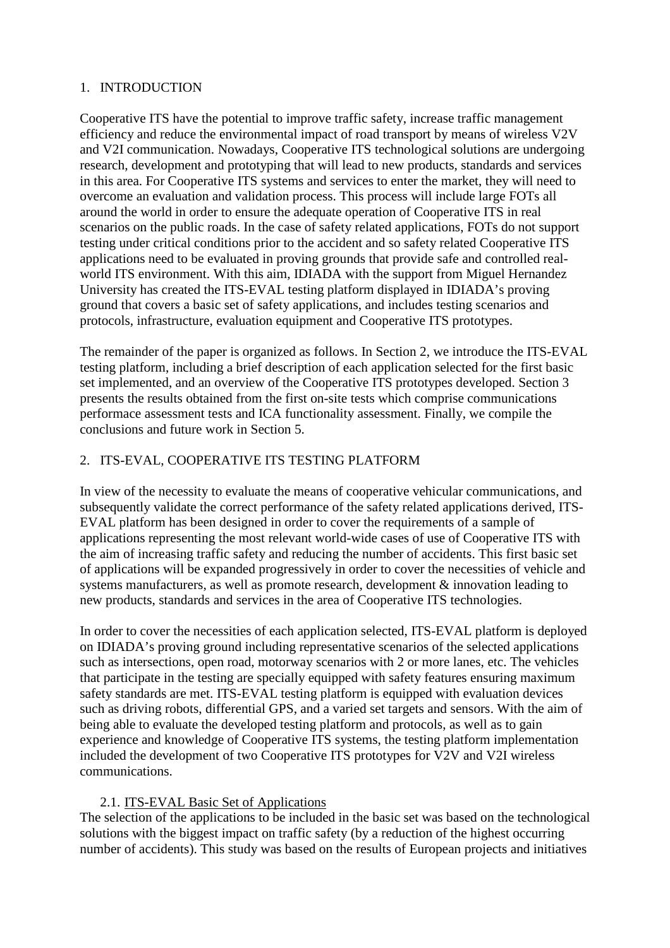# 1. INTRODUCTION

Cooperative ITS have the potential to improve traffic safety, increase traffic management efficiency and reduce the environmental impact of road transport by means of wireless V2V and V2I communication. Nowadays, Cooperative ITS technological solutions are undergoing research, development and prototyping that will lead to new products, standards and services in this area. For Cooperative ITS systems and services to enter the market, they will need to overcome an evaluation and validation process. This process will include large FOTs all around the world in order to ensure the adequate operation of Cooperative ITS in real scenarios on the public roads. In the case of safety related applications, FOTs do not support testing under critical conditions prior to the accident and so safety related Cooperative ITS applications need to be evaluated in proving grounds that provide safe and controlled realworld ITS environment. With this aim, IDIADA with the support from Miguel Hernandez University has created the ITS-EVAL testing platform displayed in IDIADA's proving ground that covers a basic set of safety applications, and includes testing scenarios and protocols, infrastructure, evaluation equipment and Cooperative ITS prototypes.

The remainder of the paper is organized as follows. In Section 2, we introduce the ITS-EVAL testing platform, including a brief description of each application selected for the first basic set implemented, and an overview of the Cooperative ITS prototypes developed. Section 3 presents the results obtained from the first on-site tests which comprise communications performace assessment tests and ICA functionality assessment. Finally, we compile the conclusions and future work in Section 5.

# 2. ITS-EVAL, COOPERATIVE ITS TESTING PLATFORM

In view of the necessity to evaluate the means of cooperative vehicular communications, and subsequently validate the correct performance of the safety related applications derived, ITS-EVAL platform has been designed in order to cover the requirements of a sample of applications representing the most relevant world-wide cases of use of Cooperative ITS with the aim of increasing traffic safety and reducing the number of accidents. This first basic set of applications will be expanded progressively in order to cover the necessities of vehicle and systems manufacturers, as well as promote research, development & innovation leading to new products, standards and services in the area of Cooperative ITS technologies.

In order to cover the necessities of each application selected, ITS-EVAL platform is deployed on IDIADA's proving ground including representative scenarios of the selected applications such as intersections, open road, motorway scenarios with 2 or more lanes, etc. The vehicles that participate in the testing are specially equipped with safety features ensuring maximum safety standards are met. ITS-EVAL testing platform is equipped with evaluation devices such as driving robots, differential GPS, and a varied set targets and sensors. With the aim of being able to evaluate the developed testing platform and protocols, as well as to gain experience and knowledge of Cooperative ITS systems, the testing platform implementation included the development of two Cooperative ITS prototypes for V2V and V2I wireless communications.

# 2.1. ITS-EVAL Basic Set of Applications

The selection of the applications to be included in the basic set was based on the technological solutions with the biggest impact on traffic safety (by a reduction of the highest occurring number of accidents). This study was based on the results of European projects and initiatives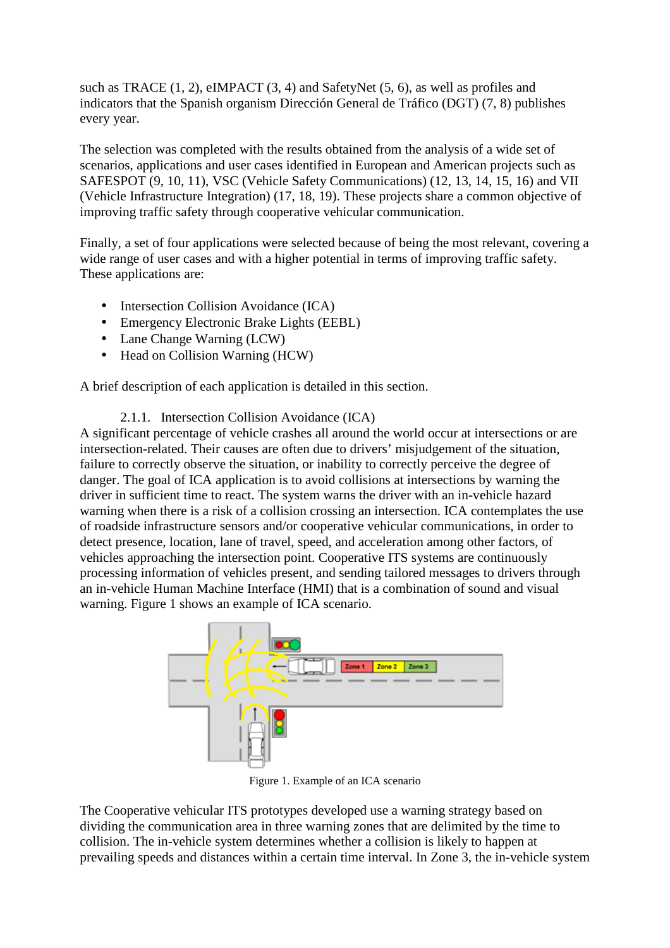such as TRACE (1, 2), eIMPACT (3, 4) and SafetyNet (5, 6), as well as profiles and indicators that the Spanish organism Dirección General de Tráfico (DGT) (7, 8) publishes every year.

The selection was completed with the results obtained from the analysis of a wide set of scenarios, applications and user cases identified in European and American projects such as SAFESPOT (9, 10, 11), VSC (Vehicle Safety Communications) (12, 13, 14, 15, 16) and VII (Vehicle Infrastructure Integration) (17, 18, 19). These projects share a common objective of improving traffic safety through cooperative vehicular communication.

Finally, a set of four applications were selected because of being the most relevant, covering a wide range of user cases and with a higher potential in terms of improving traffic safety. These applications are:

- Intersection Collision Avoidance (ICA)
- Emergency Electronic Brake Lights (EEBL)
- Lane Change Warning (LCW)
- Head on Collision Warning (HCW)

A brief description of each application is detailed in this section.

2.1.1. Intersection Collision Avoidance (ICA)

A significant percentage of vehicle crashes all around the world occur at intersections or are intersection-related. Their causes are often due to drivers' misjudgement of the situation, failure to correctly observe the situation, or inability to correctly perceive the degree of danger. The goal of ICA application is to avoid collisions at intersections by warning the driver in sufficient time to react. The system warns the driver with an in-vehicle hazard warning when there is a risk of a collision crossing an intersection. ICA contemplates the use of roadside infrastructure sensors and/or cooperative vehicular communications, in order to detect presence, location, lane of travel, speed, and acceleration among other factors, of vehicles approaching the intersection point. Cooperative ITS systems are continuously processing information of vehicles present, and sending tailored messages to drivers through an in-vehicle Human Machine Interface (HMI) that is a combination of sound and visual warning. Figure 1 shows an example of ICA scenario.



Figure 1. Example of an ICA scenario

The Cooperative vehicular ITS prototypes developed use a warning strategy based on dividing the communication area in three warning zones that are delimited by the time to collision. The in-vehicle system determines whether a collision is likely to happen at prevailing speeds and distances within a certain time interval. In Zone 3, the in-vehicle system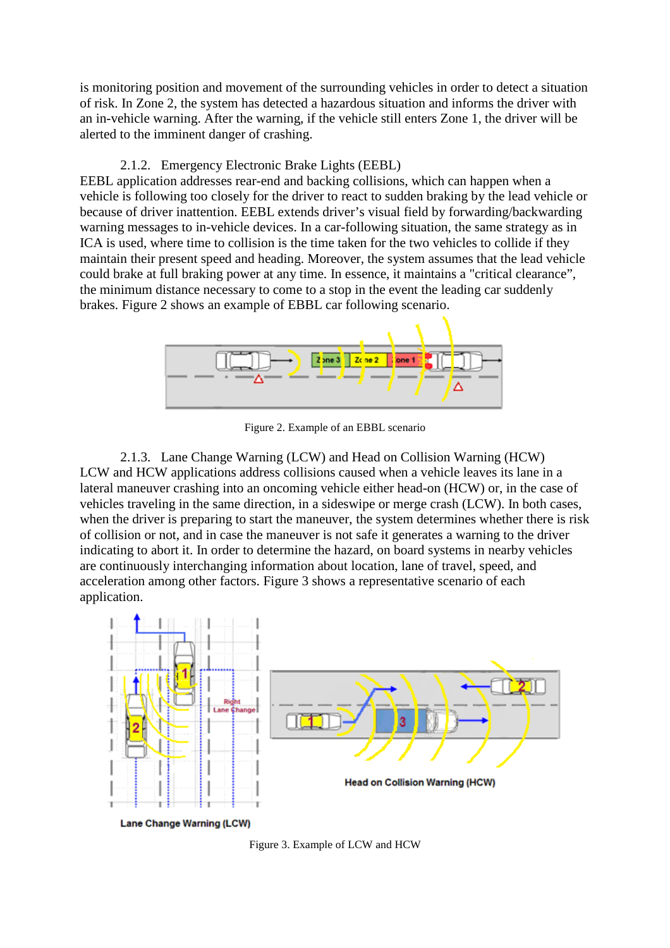is monitoring position and movement of the surrounding vehicles in order to detect a situation of risk. In Zone 2, the system has detected a hazardous situation and informs the driver with an in-vehicle warning. After the warning, if the vehicle still enters Zone 1, the driver will be alerted to the imminent danger of crashing.

#### 2.1.2. Emergency Electronic Brake Lights (EEBL)

EEBL application addresses rear-end and backing collisions, which can happen when a vehicle is following too closely for the driver to react to sudden braking by the lead vehicle or because of driver inattention. EEBL extends driver's visual field by forwarding/backwarding warning messages to in-vehicle devices. In a car-following situation, the same strategy as in ICA is used, where time to collision is the time taken for the two vehicles to collide if they maintain their present speed and heading. Moreover, the system assumes that the lead vehicle could brake at full braking power at any time. In essence, it maintains a "critical clearance", the minimum distance necessary to come to a stop in the event the leading car suddenly brakes. Figure 2 shows an example of EBBL car following scenario.



Figure 2. Example of an EBBL scenario

2.1.3. Lane Change Warning (LCW) and Head on Collision Warning (HCW) LCW and HCW applications address collisions caused when a vehicle leaves its lane in a lateral maneuver crashing into an oncoming vehicle either head-on (HCW) or, in the case of vehicles traveling in the same direction, in a sideswipe or merge crash (LCW). In both cases, when the driver is preparing to start the maneuver, the system determines whether there is risk of collision or not, and in case the maneuver is not safe it generates a warning to the driver indicating to abort it. In order to determine the hazard, on board systems in nearby vehicles are continuously interchanging information about location, lane of travel, speed, and acceleration among other factors. Figure 3 shows a representative scenario of each application.



Figure 3. Example of LCW and HCW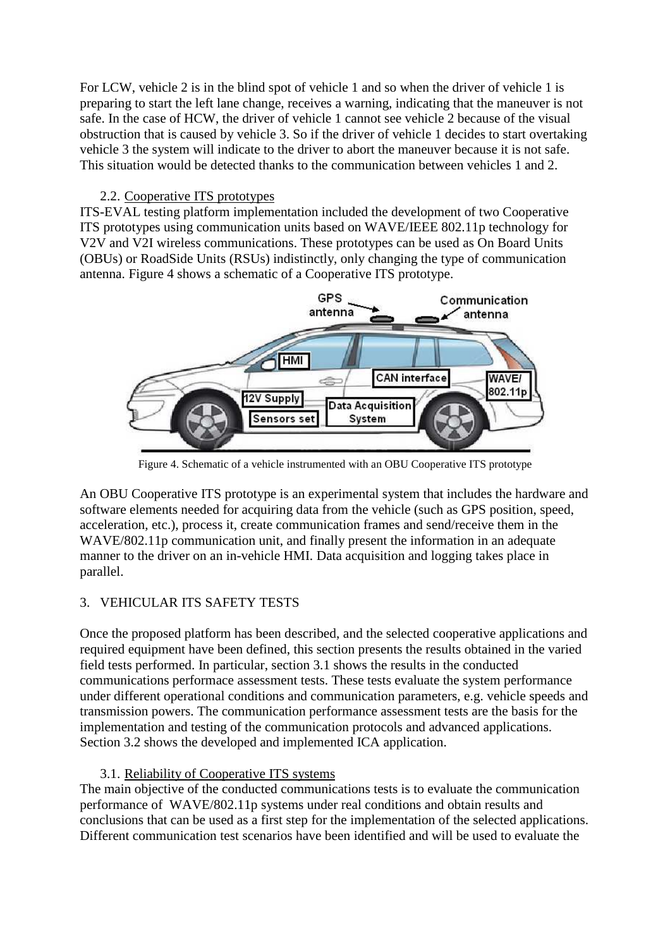For LCW, vehicle 2 is in the blind spot of vehicle 1 and so when the driver of vehicle 1 is preparing to start the left lane change, receives a warning, indicating that the maneuver is not safe. In the case of HCW, the driver of vehicle 1 cannot see vehicle 2 because of the visual obstruction that is caused by vehicle 3. So if the driver of vehicle 1 decides to start overtaking vehicle 3 the system will indicate to the driver to abort the maneuver because it is not safe. This situation would be detected thanks to the communication between vehicles 1 and 2.

# 2.2. Cooperative ITS prototypes

ITS-EVAL testing platform implementation included the development of two Cooperative ITS prototypes using communication units based on WAVE/IEEE 802.11p technology for V2V and V2I wireless communications. These prototypes can be used as On Board Units (OBUs) or RoadSide Units (RSUs) indistinctly, only changing the type of communication antenna. Figure 4 shows a schematic of a Cooperative ITS prototype.



Figure 4. Schematic of a vehicle instrumented with an OBU Cooperative ITS prototype

An OBU Cooperative ITS prototype is an experimental system that includes the hardware and software elements needed for acquiring data from the vehicle (such as GPS position, speed, acceleration, etc.), process it, create communication frames and send/receive them in the WAVE/802.11p communication unit, and finally present the information in an adequate manner to the driver on an in-vehicle HMI. Data acquisition and logging takes place in parallel.

# 3. VEHICULAR ITS SAFETY TESTS

Once the proposed platform has been described, and the selected cooperative applications and required equipment have been defined, this section presents the results obtained in the varied field tests performed. In particular, section 3.1 shows the results in the conducted communications performace assessment tests. These tests evaluate the system performance under different operational conditions and communication parameters, e.g. vehicle speeds and transmission powers. The communication performance assessment tests are the basis for the implementation and testing of the communication protocols and advanced applications. Section 3.2 shows the developed and implemented ICA application.

# 3.1. Reliability of Cooperative ITS systems

The main objective of the conducted communications tests is to evaluate the communication performance of WAVE/802.11p systems under real conditions and obtain results and conclusions that can be used as a first step for the implementation of the selected applications. Different communication test scenarios have been identified and will be used to evaluate the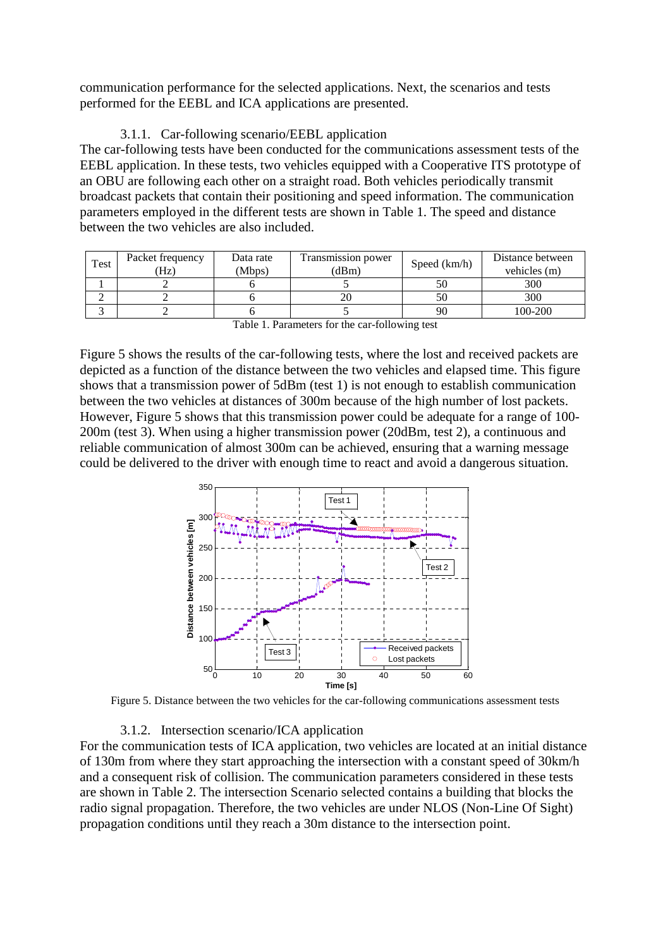communication performance for the selected applications. Next, the scenarios and tests performed for the EEBL and ICA applications are presented.

## 3.1.1. Car-following scenario/EEBL application

The car-following tests have been conducted for the communications assessment tests of the EEBL application. In these tests, two vehicles equipped with a Cooperative ITS prototype of an OBU are following each other on a straight road. Both vehicles periodically transmit broadcast packets that contain their positioning and speed information. The communication parameters employed in the different tests are shown in Table 1. The speed and distance between the two vehicles are also included.

| (Hz) | (Mbps) | Transmission power<br>(dBm) | Speed $(km/h)$                     | Distance between<br>vehicles (m) |
|------|--------|-----------------------------|------------------------------------|----------------------------------|
|      |        |                             |                                    | 300                              |
|      |        |                             |                                    | 300                              |
|      |        |                             | 90                                 | 100-200                          |
|      |        |                             | $\sim$ $\sim$ $\sim$ $\sim$ $\sim$ | $\sim$ $\sim$ $\sim$             |

Table 1. Parameters for the car-following test

Figure 5 shows the results of the car-following tests, where the lost and received packets are depicted as a function of the distance between the two vehicles and elapsed time. This figure shows that a transmission power of 5dBm (test 1) is not enough to establish communication between the two vehicles at distances of 300m because of the high number of lost packets. However, Figure 5 shows that this transmission power could be adequate for a range of 100- 200m (test 3). When using a higher transmission power (20dBm, test 2), a continuous and reliable communication of almost 300m can be achieved, ensuring that a warning message could be delivered to the driver with enough time to react and avoid a dangerous situation.



Figure 5. Distance between the two vehicles for the car-following communications assessment tests

#### 3.1.2. Intersection scenario/ICA application

For the communication tests of ICA application, two vehicles are located at an initial distance of 130m from where they start approaching the intersection with a constant speed of 30km/h and a consequent risk of collision. The communication parameters considered in these tests are shown in Table 2. The intersection Scenario selected contains a building that blocks the radio signal propagation. Therefore, the two vehicles are under NLOS (Non-Line Of Sight) propagation conditions until they reach a 30m distance to the intersection point.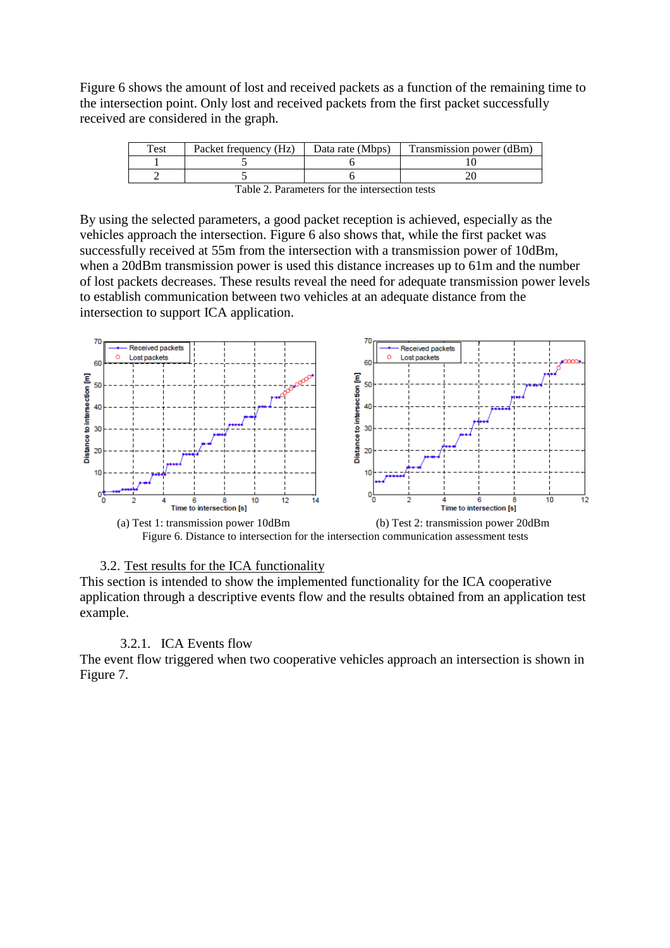Figure 6 shows the amount of lost and received packets as a function of the remaining time to the intersection point. Only lost and received packets from the first packet successfully received are considered in the graph.

| Test | Packet frequency (Hz) | Data rate (Mbps) | Transmission power (dBm) |
|------|-----------------------|------------------|--------------------------|
|      |                       |                  |                          |
|      |                       |                  |                          |

| Table 2. Parameters for the intersection tests |  |  |  |
|------------------------------------------------|--|--|--|
|------------------------------------------------|--|--|--|

By using the selected parameters, a good packet reception is achieved, especially as the vehicles approach the intersection. Figure 6 also shows that, while the first packet was successfully received at 55m from the intersection with a transmission power of 10dBm, when a 20dBm transmission power is used this distance increases up to 61m and the number of lost packets decreases. These results reveal the need for adequate transmission power levels to establish communication between two vehicles at an adequate distance from the intersection to support ICA application.



## 3.2. Test results for the ICA functionality

This section is intended to show the implemented functionality for the ICA cooperative application through a descriptive events flow and the results obtained from an application test example.

#### 3.2.1. ICA Events flow

The event flow triggered when two cooperative vehicles approach an intersection is shown in Figure 7.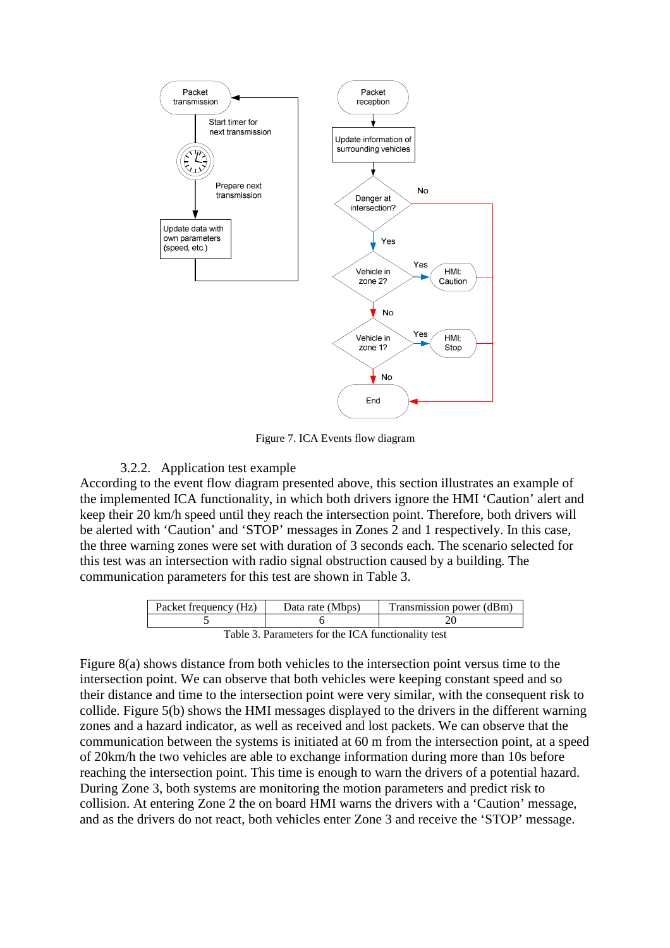

Figure 7. ICA Events flow diagram

## 3.2.2. Application test example

According to the event flow diagram presented above, this section illustrates an example of the implemented ICA functionality, in which both drivers ignore the HMI 'Caution' alert and keep their 20 km/h speed until they reach the intersection point. Therefore, both drivers will be alerted with 'Caution' and 'STOP' messages in Zones 2 and 1 respectively. In this case, the three warning zones were set with duration of 3 seconds each. The scenario selected for this test was an intersection with radio signal obstruction caused by a building*.* The communication parameters for this test are shown in Table 3.

| Packet frequency (Hz)                              | Data rate (Mbps) | Transmission power (dBm) |  |  |
|----------------------------------------------------|------------------|--------------------------|--|--|
|                                                    |                  |                          |  |  |
| Table 3. Parameters for the ICA functionality test |                  |                          |  |  |

Figure 8(a) shows distance from both vehicles to the intersection point versus time to the intersection point. We can observe that both vehicles were keeping constant speed and so their distance and time to the intersection point were very similar, with the consequent risk to collide. Figure 5(b) shows the HMI messages displayed to the drivers in the different warning zones and a hazard indicator, as well as received and lost packets. We can observe that the communication between the systems is initiated at 60 m from the intersection point, at a speed of 20km/h the two vehicles are able to exchange information during more than 10s before reaching the intersection point. This time is enough to warn the drivers of a potential hazard. During Zone 3, both systems are monitoring the motion parameters and predict risk to collision. At entering Zone 2 the on board HMI warns the drivers with a 'Caution' message, and as the drivers do not react, both vehicles enter Zone 3 and receive the 'STOP' message.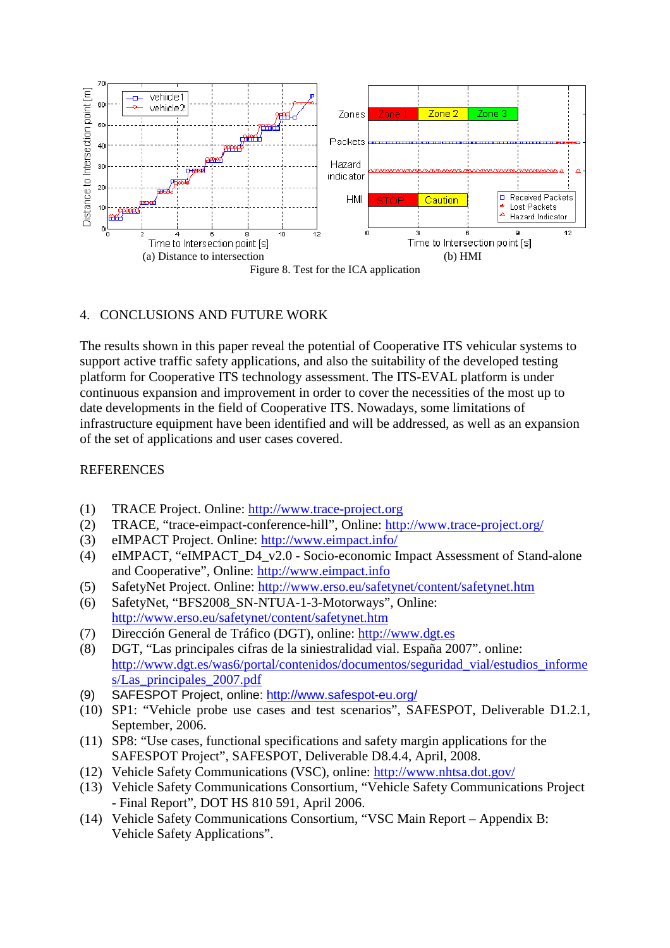

## 4. CONCLUSIONS AND FUTURE WORK

The results shown in this paper reveal the potential of Cooperative ITS vehicular systems to support active traffic safety applications, and also the suitability of the developed testing platform for Cooperative ITS technology assessment. The ITS-EVAL platform is under continuous expansion and improvement in order to cover the necessities of the most up to date developments in the field of Cooperative ITS. Nowadays, some limitations of infrastructure equipment have been identified and will be addressed, as well as an expansion of the set of applications and user cases covered.

## **REFERENCES**

- (1) TRACE Project. Online: http://www.trace-project.org
- (2) TRACE, "trace-eimpact-conference-hill", Online: http://www.trace-project.org/
- (3) eIMPACT Project. Online: http://www.eimpact.info/
- (4) eIMPACT, "eIMPACT\_D4\_v2.0 Socio-economic Impact Assessment of Stand-alone and Cooperative", Online: http://www.eimpact.info
- (5) SafetyNet Project. Online: http://www.erso.eu/safetynet/content/safetynet.htm
- (6) SafetyNet, "BFS2008\_SN-NTUA-1-3-Motorways", Online: http://www.erso.eu/safetynet/content/safetynet.htm
- (7) Dirección General de Tráfico (DGT), online: http://www.dgt.es
- (8) DGT, "Las principales cifras de la siniestralidad vial. España 2007". online: http://www.dgt.es/was6/portal/contenidos/documentos/seguridad\_vial/estudios\_informe s/Las\_principales\_2007.pdf
- (9) SAFESPOT Project, online: http://www.safespot-eu.org/
- (10) SP1: "Vehicle probe use cases and test scenarios", SAFESPOT, Deliverable D1.2.1, September, 2006.
- (11) SP8: "Use cases, functional specifications and safety margin applications for the SAFESPOT Project", SAFESPOT, Deliverable D8.4.4, April, 2008.
- (12) Vehicle Safety Communications (VSC), online: http://www.nhtsa.dot.gov/
- (13) Vehicle Safety Communications Consortium, "Vehicle Safety Communications Project - Final Report", DOT HS 810 591, April 2006.
- (14) Vehicle Safety Communications Consortium, "VSC Main Report Appendix B: Vehicle Safety Applications".